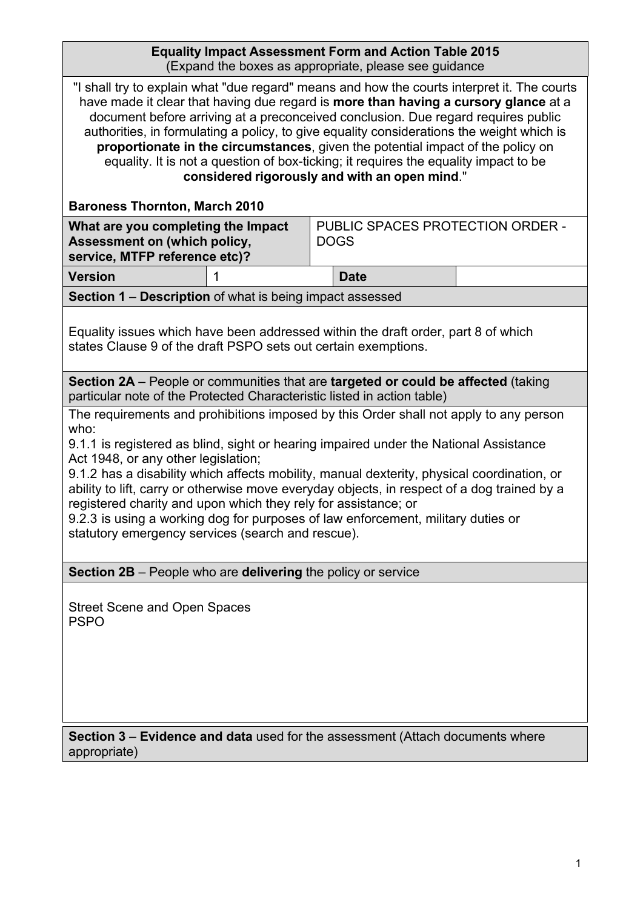| <b>Equality Impact Assessment Form and Action Table 2015</b> |  |
|--------------------------------------------------------------|--|
| (Expand the boxes as appropriate, please see guidance)       |  |

| "I shall try to explain what "due regard" means and how the courts interpret it. The courts<br>have made it clear that having due regard is more than having a cursory glance at a<br>document before arriving at a preconceived conclusion. Due regard requires public<br>authorities, in formulating a policy, to give equality considerations the weight which is<br>proportionate in the circumstances, given the potential impact of the policy on<br>equality. It is not a question of box-ticking; it requires the equality impact to be<br>considered rigorously and with an open mind."                                                                                                                 |                                                          |                                                                                   |  |
|------------------------------------------------------------------------------------------------------------------------------------------------------------------------------------------------------------------------------------------------------------------------------------------------------------------------------------------------------------------------------------------------------------------------------------------------------------------------------------------------------------------------------------------------------------------------------------------------------------------------------------------------------------------------------------------------------------------|----------------------------------------------------------|-----------------------------------------------------------------------------------|--|
| <b>Baroness Thornton, March 2010</b><br>What are you completing the Impact<br>Assessment on (which policy,<br><b>DOGS</b><br>service, MTFP reference etc)?                                                                                                                                                                                                                                                                                                                                                                                                                                                                                                                                                       |                                                          | PUBLIC SPACES PROTECTION ORDER -                                                  |  |
| <b>Version</b>                                                                                                                                                                                                                                                                                                                                                                                                                                                                                                                                                                                                                                                                                                   |                                                          | <b>Date</b>                                                                       |  |
|                                                                                                                                                                                                                                                                                                                                                                                                                                                                                                                                                                                                                                                                                                                  | Section 1 - Description of what is being impact assessed |                                                                                   |  |
| Equality issues which have been addressed within the draft order, part 8 of which<br>states Clause 9 of the draft PSPO sets out certain exemptions.                                                                                                                                                                                                                                                                                                                                                                                                                                                                                                                                                              |                                                          |                                                                                   |  |
|                                                                                                                                                                                                                                                                                                                                                                                                                                                                                                                                                                                                                                                                                                                  |                                                          | Section 2A – People or communities that are targeted or could be affected (taking |  |
| particular note of the Protected Characteristic listed in action table)<br>The requirements and prohibitions imposed by this Order shall not apply to any person<br>who:<br>9.1.1 is registered as blind, sight or hearing impaired under the National Assistance<br>Act 1948, or any other legislation;<br>9.1.2 has a disability which affects mobility, manual dexterity, physical coordination, or<br>ability to lift, carry or otherwise move everyday objects, in respect of a dog trained by a<br>registered charity and upon which they rely for assistance; or<br>9.2.3 is using a working dog for purposes of law enforcement, military duties or<br>statutory emergency services (search and rescue). |                                                          |                                                                                   |  |
| <b>Section 2B</b> – People who are delivering the policy or service                                                                                                                                                                                                                                                                                                                                                                                                                                                                                                                                                                                                                                              |                                                          |                                                                                   |  |
| <b>Street Scene and Open Spaces</b><br><b>PSPO</b>                                                                                                                                                                                                                                                                                                                                                                                                                                                                                                                                                                                                                                                               |                                                          |                                                                                   |  |
| <b>Section 3 – Evidence and data</b> used for the assessment (Attach documents where<br>appropriate)                                                                                                                                                                                                                                                                                                                                                                                                                                                                                                                                                                                                             |                                                          |                                                                                   |  |
|                                                                                                                                                                                                                                                                                                                                                                                                                                                                                                                                                                                                                                                                                                                  |                                                          |                                                                                   |  |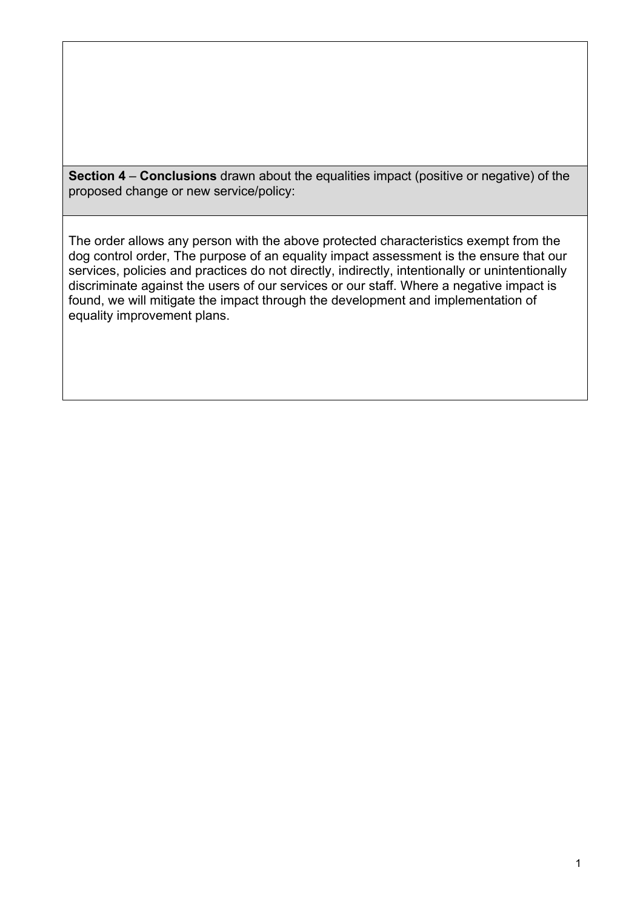**Section 4** – **Conclusions** drawn about the equalities impact (positive or negative) of the proposed change or new service/policy:

The order allows any person with the above protected characteristics exempt from the dog control order, The purpose of an equality impact assessment is the ensure that our services, policies and practices do not directly, indirectly, intentionally or unintentionally discriminate against the users of our services or our staff. Where a negative impact is found, we will mitigate the impact through the development and implementation of equality improvement plans.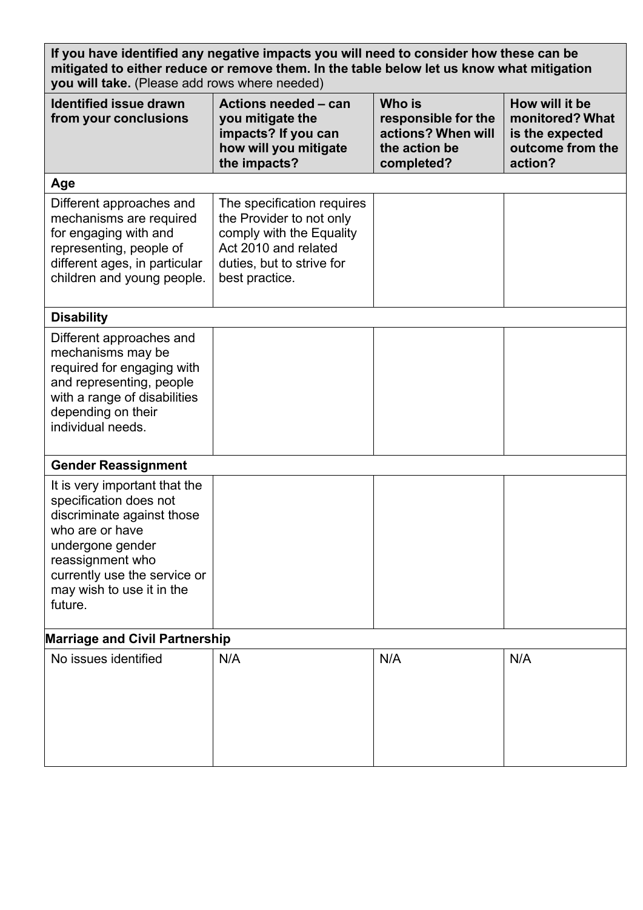| If you have identified any negative impacts you will need to consider how these can be<br>mitigated to either reduce or remove them. In the table below let us know what mitigation<br>you will take. (Please add rows where needed) |                                                                                                                                                           |                                                                                    |                                                                                     |
|--------------------------------------------------------------------------------------------------------------------------------------------------------------------------------------------------------------------------------------|-----------------------------------------------------------------------------------------------------------------------------------------------------------|------------------------------------------------------------------------------------|-------------------------------------------------------------------------------------|
| <b>Identified issue drawn</b><br>from your conclusions                                                                                                                                                                               | Actions needed - can<br>you mitigate the<br>impacts? If you can<br>how will you mitigate<br>the impacts?                                                  | Who is<br>responsible for the<br>actions? When will<br>the action be<br>completed? | How will it be<br>monitored? What<br>is the expected<br>outcome from the<br>action? |
| Age                                                                                                                                                                                                                                  |                                                                                                                                                           |                                                                                    |                                                                                     |
| Different approaches and<br>mechanisms are required<br>for engaging with and<br>representing, people of<br>different ages, in particular<br>children and young people.                                                               | The specification requires<br>the Provider to not only<br>comply with the Equality<br>Act 2010 and related<br>duties, but to strive for<br>best practice. |                                                                                    |                                                                                     |
| <b>Disability</b>                                                                                                                                                                                                                    |                                                                                                                                                           |                                                                                    |                                                                                     |
| Different approaches and<br>mechanisms may be<br>required for engaging with<br>and representing, people<br>with a range of disabilities<br>depending on their<br>individual needs.                                                   |                                                                                                                                                           |                                                                                    |                                                                                     |
| <b>Gender Reassignment</b>                                                                                                                                                                                                           |                                                                                                                                                           |                                                                                    |                                                                                     |
| It is very important that the<br>specification does not<br>discriminate against those<br>who are or have<br>undergone gender<br>reassignment who<br>currently use the service or<br>may wish to use it in the<br>future.             |                                                                                                                                                           |                                                                                    |                                                                                     |
| <b>Marriage and Civil Partnership</b>                                                                                                                                                                                                |                                                                                                                                                           |                                                                                    |                                                                                     |
| No issues identified                                                                                                                                                                                                                 | N/A                                                                                                                                                       | N/A                                                                                | N/A                                                                                 |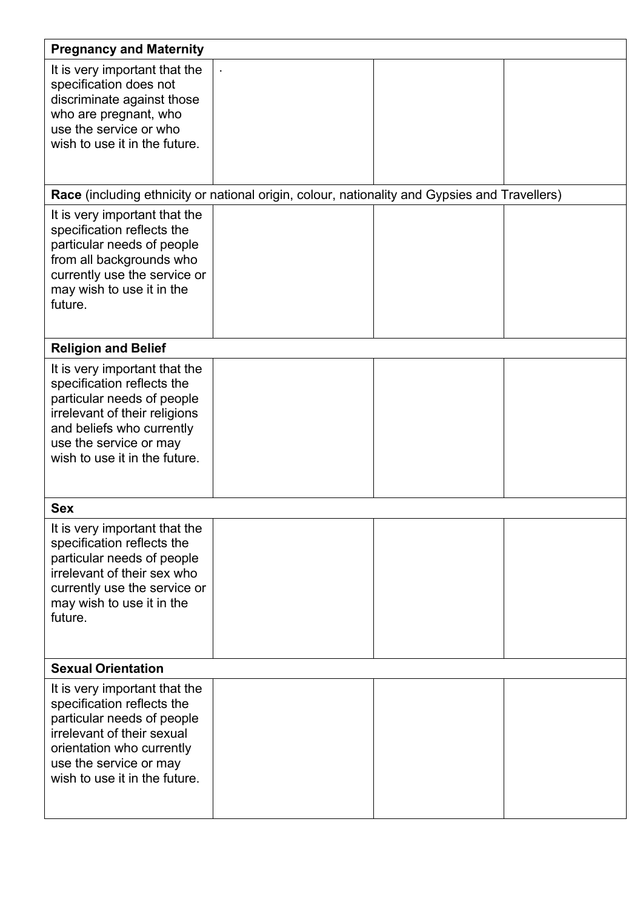| <b>Pregnancy and Maternity</b>                                                                                                                                                                                     |                                                                                               |  |
|--------------------------------------------------------------------------------------------------------------------------------------------------------------------------------------------------------------------|-----------------------------------------------------------------------------------------------|--|
| It is very important that the<br>specification does not<br>discriminate against those<br>who are pregnant, who<br>use the service or who<br>wish to use it in the future.                                          |                                                                                               |  |
|                                                                                                                                                                                                                    | Race (including ethnicity or national origin, colour, nationality and Gypsies and Travellers) |  |
| It is very important that the<br>specification reflects the<br>particular needs of people<br>from all backgrounds who<br>currently use the service or<br>may wish to use it in the<br>future.                      |                                                                                               |  |
| <b>Religion and Belief</b>                                                                                                                                                                                         |                                                                                               |  |
| It is very important that the<br>specification reflects the<br>particular needs of people<br>irrelevant of their religions<br>and beliefs who currently<br>use the service or may<br>wish to use it in the future. |                                                                                               |  |
| <b>Sex</b>                                                                                                                                                                                                         |                                                                                               |  |
| It is very important that the<br>specification reflects the<br>particular needs of people<br>irrelevant of their sex who<br>currently use the service or<br>may wish to use it in the<br>future.                   |                                                                                               |  |
| <b>Sexual Orientation</b>                                                                                                                                                                                          |                                                                                               |  |
| It is very important that the<br>specification reflects the<br>particular needs of people<br>irrelevant of their sexual<br>orientation who currently<br>use the service or may<br>wish to use it in the future.    |                                                                                               |  |